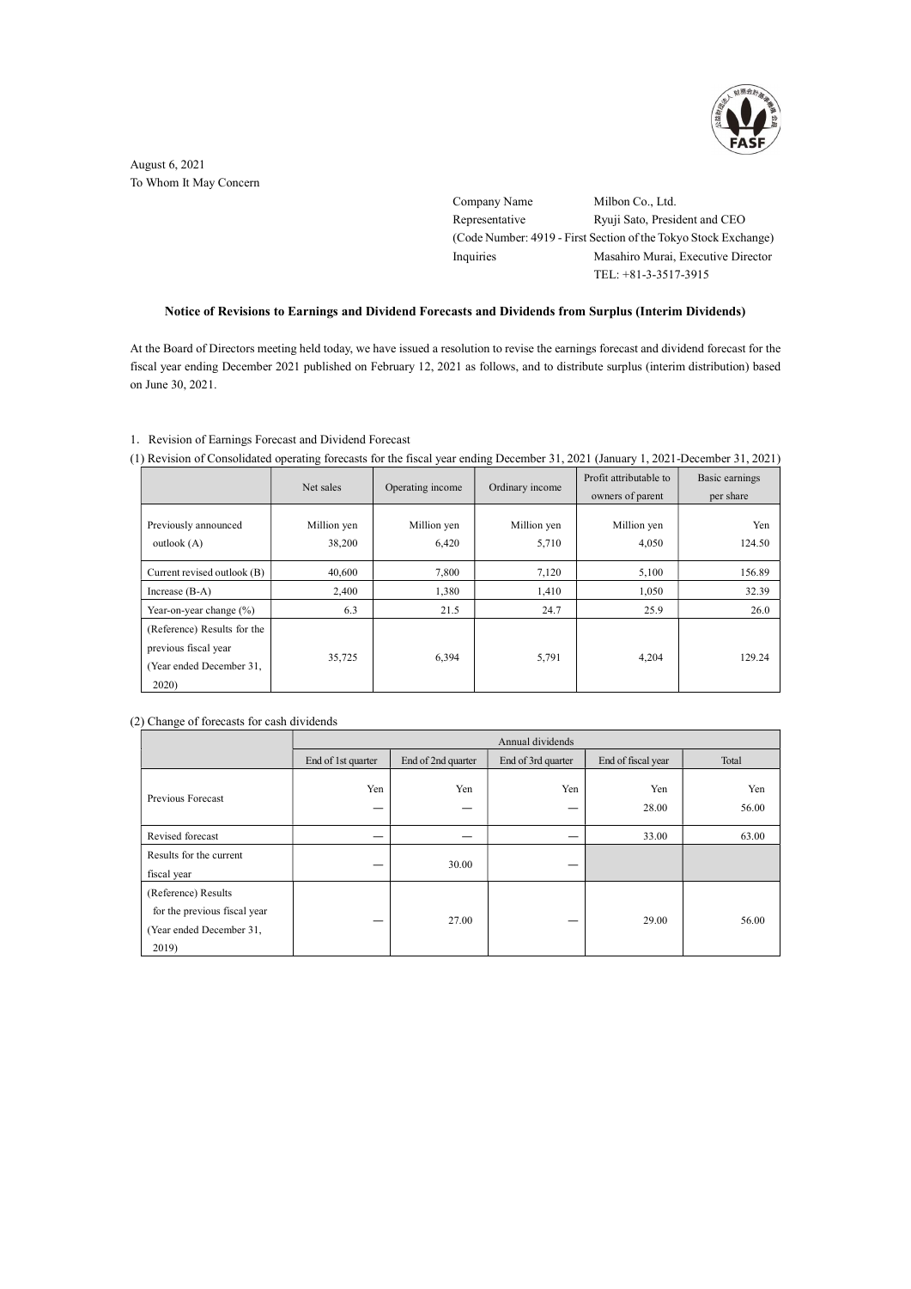

August 6, 2021 To Whom It May Concern

> Company Name Milbon Co., Ltd. Representative Ryuji Sato, President and CEO (Code Number: 4919 - First Section of the Tokyo Stock Exchange) Inquiries Masahiro Murai, Executive Director TEL: +81-3-3517-3915

# Notice of Revisions to Earnings and Dividend Forecasts and Dividends from Surplus (Interim Dividends)

At the Board of Directors meeting held today, we have issued a resolution to revise the earnings forecast and dividend forecast for the fiscal year ending December 2021 published on February 12, 2021 as follows, and to distribute surplus (interim distribution) based on June 30, 2021.

### 1.Revision of Earnings Forecast and Dividend Forecast

(1) Revision of Consolidated operating forecasts for the fiscal year ending December 31, 2021 (January 1, 2021-December 31, 2021)

|                                                                                          | Net sales             | Operating income     | Ordinary income      | Profit attributable to<br>owners of parent | Basic earnings<br>per share |
|------------------------------------------------------------------------------------------|-----------------------|----------------------|----------------------|--------------------------------------------|-----------------------------|
| Previously announced<br>outlook $(A)$                                                    | Million yen<br>38,200 | Million yen<br>6,420 | Million yen<br>5,710 | Million yen<br>4,050                       | Yen<br>124.50               |
| Current revised outlook (B)                                                              | 40,600                | 7,800                | 7,120                | 5,100                                      | 156.89                      |
| Increase $(B-A)$                                                                         | 2,400                 | 1,380                | 1,410                | 1,050                                      | 32.39                       |
| Year-on-year change $(\%)$                                                               | 6.3                   | 21.5                 | 24.7                 | 25.9                                       | 26.0                        |
| (Reference) Results for the<br>previous fiscal year<br>(Year ended December 31,<br>2020) | 35,725                | 6,394                | 5,791                | 4,204                                      | 129.24                      |

### (2) Change of forecasts for cash dividends

|                                                                                          | Annual dividends   |                    |                    |                    |              |  |
|------------------------------------------------------------------------------------------|--------------------|--------------------|--------------------|--------------------|--------------|--|
|                                                                                          | End of 1st quarter | End of 2nd quarter | End of 3rd quarter | End of fiscal year | Total        |  |
| Previous Forecast                                                                        | Yen<br>—           | Yen<br>_           | Yen                | Yen<br>28.00       | Yen<br>56.00 |  |
| Revised forecast                                                                         |                    |                    |                    | 33.00              | 63.00        |  |
| Results for the current<br>fiscal year                                                   | –                  | 30.00              |                    |                    |              |  |
| (Reference) Results<br>for the previous fiscal year<br>(Year ended December 31,<br>2019) | —                  | 27.00              | _                  | 29.00              | 56.00        |  |